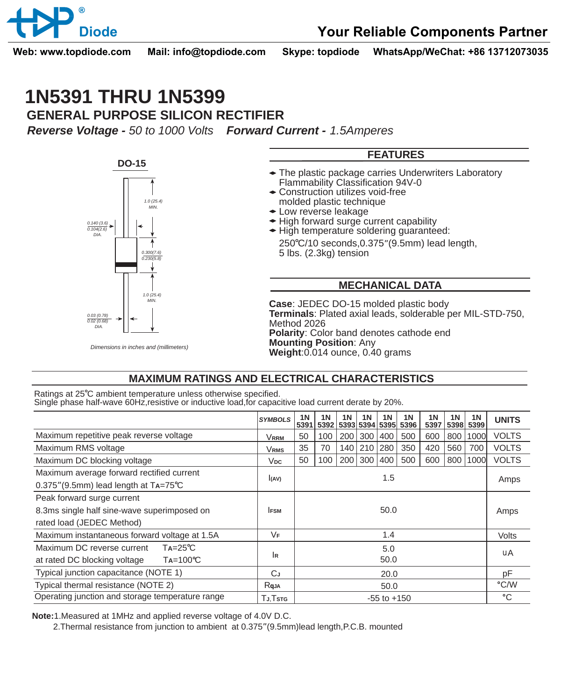

**Web: www.topdiode.com Mail: info@topdiode.com Skype: topdiode WhatsApp/WeChat: +86 13712073035**

# **1N5391 THRU 1N5399 GENERAL PURPOSE SILICON RECTIFIER**

*Reverse Voltage - 50 to 1000 Volts Forward Current - 1.5Amperes*

## **FEATURES**

- The plastic package carries Underwriters Laboratory Flammability Classification 94V-0
- Construction utilizes void-free molded plastic technique
- Low reverse leakage
- High forward surge current capability
- High temperature soldering guaranteed:
	- 250 C/10 seconds,0.375"(9.5mm) lead length, 5 lbs. (2.3kg) tension

#### **MECHANICAL DATA**

**Case**: JEDEC DO-15 molded plastic body **Terminals**: Plated axial leads, solderable per MIL-STD-750, Method 2026 **Polarity**: Color band denotes cathode end **Mounting Position**: Any **Weight**:0.014 ounce, 0.40 grams

*Dimensions in inches and (millimeters)*

### **MAXIMUM RATINGS AND ELECTRICAL CHARACTERISTICS**

Ratings at 25°C ambient temperature unless otherwise specified. Single phase half-wave 60Hz,resistive or inductive load,for capacitive load current derate by 20%.

|                                                                                                        | <b>SYMBOLS</b> | <b>1N</b><br>5391 | <b>1N</b> | 1N  | 1 <sub>N</sub><br>5392 5393 5394 5395 | <b>1N</b> | <b>1N</b><br>5396 | 1 <sub>N</sub><br>5397 | 1 <sub>N</sub> | 1N<br>5398 5399 | <b>UNITS</b> |
|--------------------------------------------------------------------------------------------------------|----------------|-------------------|-----------|-----|---------------------------------------|-----------|-------------------|------------------------|----------------|-----------------|--------------|
| Maximum repetitive peak reverse voltage                                                                | Vrrm           | 50                | 100       | 200 | 300                                   | 400       | 500               | 600                    | 800            | 1000            | <b>VOLTS</b> |
| Maximum RMS voltage                                                                                    | Vrms           | 35                | 70        | 140 | 210                                   | 280       | 350               | 420                    | 560            | 700             | <b>VOLTS</b> |
| Maximum DC blocking voltage                                                                            | $V_{DC}$       | 50                | 100       | 200 | 300                                   | 400       | 500               | 600                    |                | 800 1000        | <b>VOLTS</b> |
| Maximum average forward rectified current<br>$0.375$ " (9.5mm) lead length at $Ta = 75^{\circ}C$       | I(AV)          | 1.5               |           |     |                                       |           |                   |                        |                | Amps            |              |
| Peak forward surge current<br>8.3ms single half sine-wave superimposed on<br>rated load (JEDEC Method) | <b>IFSM</b>    | 50.0              |           |     |                                       |           |                   |                        |                | Amps            |              |
| Maximum instantaneous forward voltage at 1.5A                                                          | VF             | 1.4               |           |     |                                       |           |                   |                        |                | Volts           |              |
| $Ta = 25^{\circ}C$<br>Maximum DC reverse current<br>$Ta=100^{\circ}C$<br>at rated DC blocking voltage  | lĸ             | 5.0<br>50.0       |           |     |                                       |           |                   |                        |                | uA              |              |
| Typical junction capacitance (NOTE 1)                                                                  | СJ             | 20.0              |           |     |                                       |           |                   |                        |                |                 | pF           |
| Typical thermal resistance (NOTE 2)                                                                    | Rqja           |                   | 50.0      |     |                                       |           |                   |                        |                |                 | °C/W         |
| Operating junction and storage temperature range                                                       | Tj.Tstg        | $-55$ to $+150$   |           |     |                                       |           |                   |                        |                | °C              |              |

**Note:**1.Measured at 1MHz and applied reverse voltage of 4.0V D.C.

2.Thermal resistance from junction to ambient at 0.375"(9.5mm)lead length,P.C.B. mounted



**DO-15**